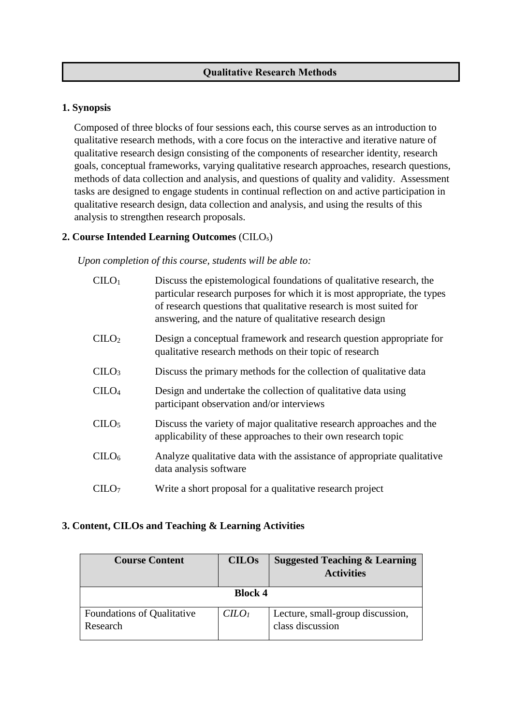## **Qualitative Research Methods**

## **1. Synopsis**

Composed of three blocks of four sessions each, this course serves as an introduction to qualitative research methods, with a core focus on the interactive and iterative nature of qualitative research design consisting of the components of researcher identity, research goals, conceptual frameworks, varying qualitative research approaches, research questions, methods of data collection and analysis, and questions of quality and validity. Assessment tasks are designed to engage students in continual reflection on and active participation in qualitative research design, data collection and analysis, and using the results of this analysis to strengthen research proposals.

## **2. Course Intended Learning Outcomes** (CILOs)

*Upon completion of this course, students will be able to:*

| CLLO <sub>1</sub>              | Discuss the epistemological foundations of qualitative research, the<br>particular research purposes for which it is most appropriate, the types<br>of research questions that qualitative research is most suited for<br>answering, and the nature of qualitative research design |
|--------------------------------|------------------------------------------------------------------------------------------------------------------------------------------------------------------------------------------------------------------------------------------------------------------------------------|
| $C LO2$                        | Design a conceptual framework and research question appropriate for<br>qualitative research methods on their topic of research                                                                                                                                                     |
| C <sub>1</sub> CO <sub>3</sub> | Discuss the primary methods for the collection of qualitative data                                                                                                                                                                                                                 |
| C <sub>1</sub> CO <sub>4</sub> | Design and undertake the collection of qualitative data using<br>participant observation and/or interviews                                                                                                                                                                         |
| C <sub>II</sub>                | Discuss the variety of major qualitative research approaches and the<br>applicability of these approaches to their own research topic                                                                                                                                              |
| C <sub>LO<sub>6</sub></sub>    | Analyze qualitative data with the assistance of appropriate qualitative<br>data analysis software                                                                                                                                                                                  |
| CILO <sub>7</sub>              | Write a short proposal for a qualitative research project                                                                                                                                                                                                                          |

### **3. Content, CILOs and Teaching & Learning Activities**

| <b>Course Content</b>             | <b>CILOs</b> | <b>Suggested Teaching &amp; Learning</b><br><b>Activities</b> |  |  |  |  |  |
|-----------------------------------|--------------|---------------------------------------------------------------|--|--|--|--|--|
| <b>Block 4</b>                    |              |                                                               |  |  |  |  |  |
| <b>Foundations of Qualitative</b> | $C$          | Lecture, small-group discussion,                              |  |  |  |  |  |
| Research                          |              | class discussion                                              |  |  |  |  |  |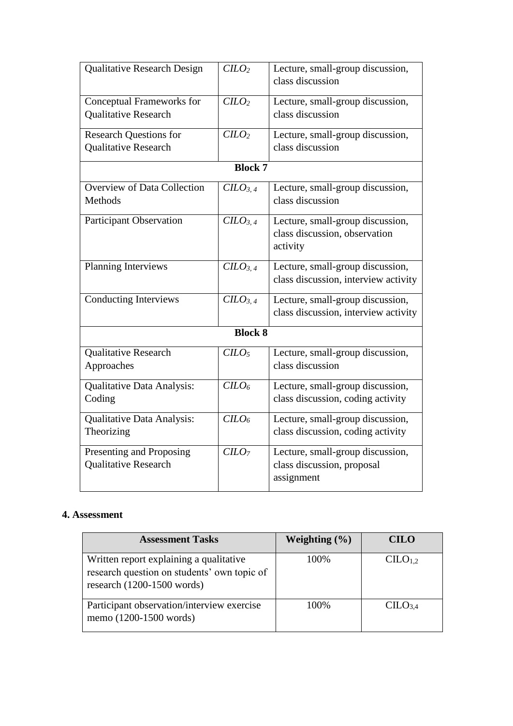| <b>Qualitative Research Design</b>                           | $C$                | Lecture, small-group discussion,<br>class discussion                          |  |  |  |  |  |
|--------------------------------------------------------------|--------------------|-------------------------------------------------------------------------------|--|--|--|--|--|
| Conceptual Frameworks for<br><b>Qualitative Research</b>     | $C$                | Lecture, small-group discussion,<br>class discussion                          |  |  |  |  |  |
| <b>Research Questions for</b><br><b>Qualitative Research</b> | $C LO$             | Lecture, small-group discussion,<br>class discussion                          |  |  |  |  |  |
| <b>Block 7</b>                                               |                    |                                                                               |  |  |  |  |  |
| <b>Overview of Data Collection</b><br>Methods                | $C$                | Lecture, small-group discussion,<br>class discussion                          |  |  |  |  |  |
| <b>Participant Observation</b>                               | $C$                | Lecture, small-group discussion,<br>class discussion, observation<br>activity |  |  |  |  |  |
| <b>Planning Interviews</b>                                   | $C$                | Lecture, small-group discussion,<br>class discussion, interview activity      |  |  |  |  |  |
| <b>Conducting Interviews</b>                                 | $C$                | Lecture, small-group discussion,<br>class discussion, interview activity      |  |  |  |  |  |
| <b>Block 8</b>                                               |                    |                                                                               |  |  |  |  |  |
| <b>Qualitative Research</b><br>Approaches                    | $C LO$             | Lecture, small-group discussion,<br>class discussion                          |  |  |  |  |  |
| Qualitative Data Analysis:<br>Coding                         | CILO <sub>6</sub>  | Lecture, small-group discussion,<br>class discussion, coding activity         |  |  |  |  |  |
| Qualitative Data Analysis:<br>Theorizing                     | C                  | Lecture, small-group discussion,<br>class discussion, coding activity         |  |  |  |  |  |
| Presenting and Proposing<br><b>Qualitative Research</b>      | C ILO <sub>7</sub> | Lecture, small-group discussion,<br>class discussion, proposal<br>assignment  |  |  |  |  |  |

# **4. Assessment**

| <b>Assessment Tasks</b>                                                                                                | Weighting $(\% )$ | <b>CILO</b>         |
|------------------------------------------------------------------------------------------------------------------------|-------------------|---------------------|
| Written report explaining a qualitative<br>research question on students' own topic of<br>research $(1200-1500$ words) | 100%              | CLLO <sub>1.2</sub> |
| Participant observation/interview exercise<br>memo (1200-1500 words)                                                   | 100%              | CILO <sub>3.4</sub> |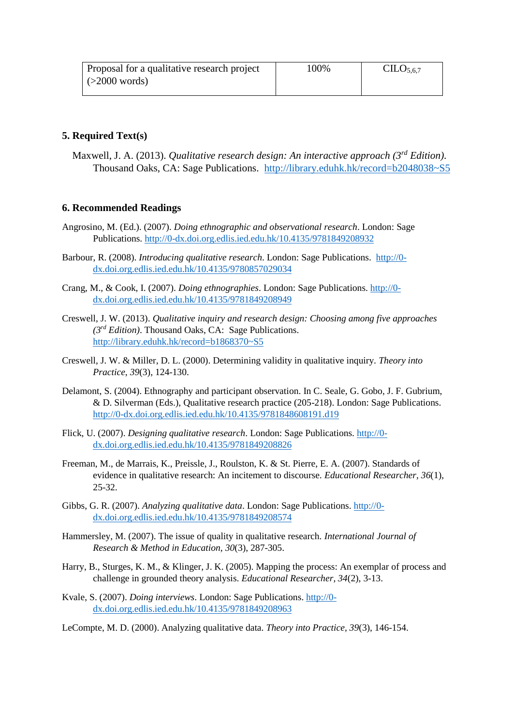| Proposal for a qualitative research project | 100% | CILO <sub>5.6.7</sub> |
|---------------------------------------------|------|-----------------------|
| $\approx 2000$ words)                       |      |                       |
|                                             |      |                       |

## **5. Required Text(s)**

 Maxwell, J. A. (2013). *Qualitative research design: An interactive approach (3rd Edition)*. Thousand Oaks, CA: Sage Publications. <http://library.eduhk.hk/record=b2048038~S5>

### **6. Recommended Readings**

- Angrosino, M. (Ed.). (2007). *Doing ethnographic and observational research*. London: Sage Publications. <http://0-dx.doi.org.edlis.ied.edu.hk/10.4135/9781849208932>
- Barbour, R. (2008). *Introducing qualitative research*. London: Sage Publications. [http://0](http://0-dx.doi.org.edlis.ied.edu.hk/10.4135/9780857029034) [dx.doi.org.edlis.ied.edu.hk/10.4135/9780857029034](http://0-dx.doi.org.edlis.ied.edu.hk/10.4135/9780857029034)
- Crang, M., & Cook, I. (2007). *Doing ethnographies*. London: Sage Publications. [http://0](http://0-dx.doi.org.edlis.ied.edu.hk/10.4135/9781849208949) [dx.doi.org.edlis.ied.edu.hk/10.4135/9781849208949](http://0-dx.doi.org.edlis.ied.edu.hk/10.4135/9781849208949)
- Creswell, J. W. (2013). *Qualitative inquiry and research design: Choosing among five approaches (3rd Edition)*. Thousand Oaks, CA: Sage Publications. <http://library.eduhk.hk/record=b1868370~S5>
- Creswell, J. W. & Miller, D. L. (2000). Determining validity in qualitative inquiry. *Theory into Practice*, *39*(3), 124-130.
- Delamont, S. (2004). Ethnography and participant observation. In C. Seale, G. Gobo, J. F. Gubrium, & D. Silverman (Eds.), Qualitative research practice (205-218). London: Sage Publications. <http://0-dx.doi.org.edlis.ied.edu.hk/10.4135/9781848608191.d19>
- Flick, U. (2007). *Designing qualitative research*. London: Sage Publications. [http://0](http://0-dx.doi.org.edlis.ied.edu.hk/10.4135/9781849208826) [dx.doi.org.edlis.ied.edu.hk/10.4135/9781849208826](http://0-dx.doi.org.edlis.ied.edu.hk/10.4135/9781849208826)
- Freeman, M., de Marrais, K., Preissle, J., Roulston, K. & St. Pierre, E. A. (2007). Standards of evidence in qualitative research: An incitement to discourse. *Educational Researcher, 36*(1), 25-32.
- Gibbs, G. R. (2007). *Analyzing qualitative data*. London: Sage Publications. [http://0](http://0-dx.doi.org.edlis.ied.edu.hk/10.4135/9781849208574) [dx.doi.org.edlis.ied.edu.hk/10.4135/9781849208574](http://0-dx.doi.org.edlis.ied.edu.hk/10.4135/9781849208574)
- Hammersley, M. (2007). The issue of quality in qualitative research. *International Journal of Research & Method in Education, 30*(3), 287-305.
- Harry, B., Sturges, K. M., & Klinger, J. K. (2005). Mapping the process: An exemplar of process and challenge in grounded theory analysis. *Educational Researcher, 34*(2), 3-13.
- Kvale, S. (2007). *Doing interviews*. London: Sage Publications. [http://0](http://0-dx.doi.org.edlis.ied.edu.hk/10.4135/9781849208963) [dx.doi.org.edlis.ied.edu.hk/10.4135/9781849208963](http://0-dx.doi.org.edlis.ied.edu.hk/10.4135/9781849208963)

LeCompte, M. D. (2000). Analyzing qualitative data. *Theory into Practice, 39*(3), 146-154.